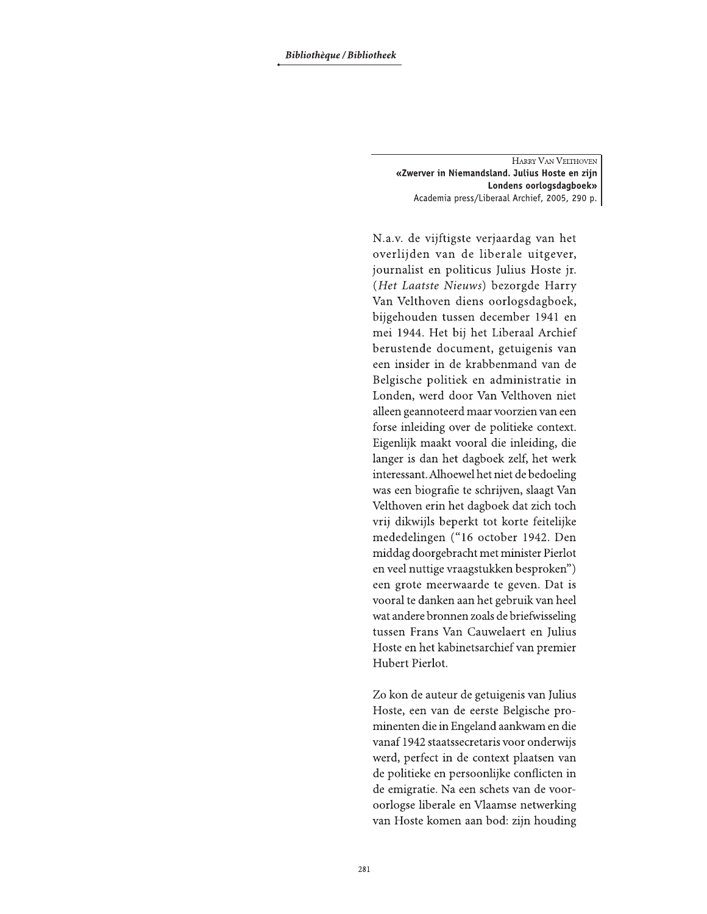HARRY VAN VELTHOVEN «Zwerver in Niemandsland. Julius Hoste en zijn Londens oorlogsdagboek» Academia press/Liberaal Archief, 2005, 290 p.

N.a.v. de vijftigste verjaardag van het overlijden van de liberale uitgever, journalist en politicus Julius Hoste jr. (Het Laatste Nieuws) bezorgde Harry Van Velthoven diens oorlogsdagboek, bijgehouden tussen december 1941 en mei 1944. Het bij het Liberaal Archief berustende document, getuigenis van een insider in de krabbenmand van de Belgische politiek en administratie in Londen, werd door Van Velthoven niet alleen geannoteerd maar voorzien van een forse inleiding over de politieke context. Eigenlijk maakt vooral die inleiding, die langer is dan het dagboek zelf, het werk interessant. Alhoewel het niet de bedoeling was een biografie te schrijven, slaagt Van Velthoven erin het dagboek dat zich toch vrij dikwijls beperkt tot korte feitelijke mededelingen ("16 october 1942. Den middag doorgebracht met minister Pierlot en veel nuttige vraagstukken besproken") een grote meerwaarde te geven. Dat is vooral te danken aan het gebruik van heel wat andere bronnen zoals de briefwisseling tussen Frans Van Cauwelaert en Julius Hoste en het kabinetsarchief van premier Hubert Pierlot.

Zo kon de auteur de getuigenis van Julius Hoste, een van de eerste Belgische prominenten die in Engeland aankwam en die vanaf 1942 staatssecretaris voor onderwijs werd, perfect in de context plaatsen van de politieke en persoonlijke conflicten in de emigratie. Na een schets van de vooroorlogse liberale en Vlaamse netwerking van Hoste komen aan bod: zijn houding